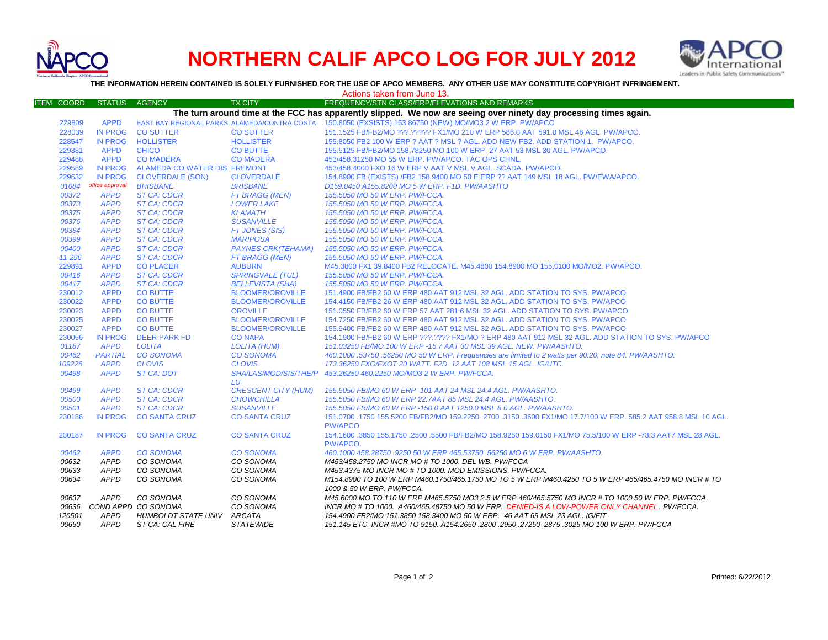

## **NORTHERN CALIF APCO LOG FOR JULY 2012**



**THE INFORMATION HEREIN CONTAINED IS SOLELY FURNISHED FOR THE USE OF APCO MEMBERS. ANY OTHER USE MAY CONSTITUTE COPYRIGHT INFRINGEMENT.**

| Actions taken from June 13.                                                                                       |                               |                                   |                                   |                                                                                                                                                                        |  |  |  |  |
|-------------------------------------------------------------------------------------------------------------------|-------------------------------|-----------------------------------|-----------------------------------|------------------------------------------------------------------------------------------------------------------------------------------------------------------------|--|--|--|--|
| <b>ITEM COORD</b>                                                                                                 | <b>STATUS</b>                 | <b>AGENCY</b>                     | <b>TX CITY</b>                    | FREQUENCY/STN CLASS/ERP/ELEVATIONS AND REMARKS                                                                                                                         |  |  |  |  |
| The turn around time at the FCC has apparently slipped. We now are seeing over ninety day processing times again. |                               |                                   |                                   |                                                                                                                                                                        |  |  |  |  |
| 229809                                                                                                            | <b>APPD</b>                   |                                   |                                   | EAST BAY REGIONAL PARKS ALAMEDA/CONTRA COSTA 150.8050 (EXSISTS) 153.86750 (NEW) MO/MO3 2 W ERP. PW/APCO                                                                |  |  |  |  |
| 228039                                                                                                            | <b>IN PROG</b>                | <b>CO SUTTER</b>                  | <b>CO SUTTER</b>                  | 151.1525 FB/FB2/MO ???.????? FX1/MO 210 W ERP 586.0 AAT 591.0 MSL 46 AGL, PW/APCO.                                                                                     |  |  |  |  |
| 228547                                                                                                            | <b>IN PROG</b>                | <b>HOLLISTER</b>                  | <b>HOLLISTER</b>                  | 155.8050 FB2 100 W ERP ? AAT ? MSL ? AGL. ADD NEW FB2. ADD STATION 1. PW/APCO.                                                                                         |  |  |  |  |
| 229381                                                                                                            | <b>APPD</b>                   | <b>CHICO</b>                      | <b>CO BUTTE</b>                   | 155.5125 FB/FB2/MO 158.78250 MO 100 W ERP -27 AAT 53 MSL 30 AGL. PW/APCO.                                                                                              |  |  |  |  |
| 229488                                                                                                            | <b>APPD</b>                   | <b>CO MADERA</b>                  | <b>CO MADERA</b>                  | 453/458.31250 MO 55 W ERP. PW/APCO. TAC OPS CHNL.                                                                                                                      |  |  |  |  |
| 229589                                                                                                            | <b>IN PROG</b>                | ALAMEDA CO WATER DIS FREMONT      |                                   | 453/458.4000 FXO 16 W ERP V AAT V MSL V AGL. SCADA. PW/APCO.                                                                                                           |  |  |  |  |
| 229632                                                                                                            | <b>IN PROG</b>                | <b>CLOVERDALE (SON)</b>           | <b>CLOVERDALE</b>                 | 154.8900 FB (EXISTS) /FB2 158.9400 MO 50 E ERP ?? AAT 149 MSL 18 AGL. PW/EWA/APCO.                                                                                     |  |  |  |  |
| 01084                                                                                                             | office approval               | <b>BRISBANE</b>                   | <b>BRISBANE</b>                   | D159.0450 A155.8200 MO 5 W ERP. F1D. PW/AASHTO                                                                                                                         |  |  |  |  |
| 00372                                                                                                             | <b>APPD</b>                   | <b>ST CA: CDCR</b>                | FT BRAGG (MEN)                    | 155.5050 MO 50 W ERP. PW/FCCA.                                                                                                                                         |  |  |  |  |
| 00373                                                                                                             | <b>APPD</b>                   | <b>ST CA: CDCR</b>                | <b>LOWER LAKE</b>                 | 155.5050 MO 50 W ERP. PW/FCCA.                                                                                                                                         |  |  |  |  |
| 00375                                                                                                             | <b>APPD</b>                   | <b>ST CA: CDCR</b>                | <b>KLAMATH</b>                    | 155.5050 MO 50 W ERP. PW/FCCA.                                                                                                                                         |  |  |  |  |
| 00376                                                                                                             | <b>APPD</b>                   | <b>ST CA: CDCR</b>                | <b>SUSANVILLE</b>                 | 155.5050 MO 50 W ERP. PW/FCCA.                                                                                                                                         |  |  |  |  |
| 00384                                                                                                             | <b>APPD</b>                   | <b>ST CA: CDCR</b>                | FT JONES (SIS)                    | 155.5050 MO 50 W ERP. PW/FCCA.                                                                                                                                         |  |  |  |  |
| 00399                                                                                                             | <b>APPD</b>                   | <b>ST CA: CDCR</b>                | <b>MARIPOSA</b>                   | 155.5050 MO 50 W ERP. PW/FCCA.                                                                                                                                         |  |  |  |  |
| 00400                                                                                                             | <b>APPD</b>                   | <b>ST CA: CDCR</b>                | <b>PAYNES CRK(TEHAMA)</b>         | 155.5050 MO 50 W ERP. PW/FCCA.                                                                                                                                         |  |  |  |  |
| 11-296                                                                                                            | <b>APPD</b>                   | <b>ST CA: CDCR</b>                | FT BRAGG (MEN)                    | 155.5050 MO 50 W ERP. PW/FCCA.                                                                                                                                         |  |  |  |  |
| 229891                                                                                                            | <b>APPD</b>                   | <b>CO PLACER</b>                  | <b>AUBURN</b>                     | M45.3800 FX1 39.8400 FB2 RELOCATE, M45.4800 154.8900 MO 155.0100 MO/MO2, PW/APCO,                                                                                      |  |  |  |  |
| 00416                                                                                                             | <b>APPD</b>                   | <b>ST CA: CDCR</b>                | <b>SPRINGVALE (TUL)</b>           | 155.5050 MO 50 W ERP. PW/FCCA.                                                                                                                                         |  |  |  |  |
| 00417                                                                                                             | <b>APPD</b>                   | <b>ST CA: CDCR</b>                | <b>BELLEVISTA (SHA)</b>           | 155.5050 MO 50 W ERP. PW/FCCA.                                                                                                                                         |  |  |  |  |
| 230012                                                                                                            | <b>APPD</b>                   | <b>CO BUTTE</b>                   | <b>BLOOMER/OROVILLE</b>           | 151,4900 FB/FB2 60 W ERP 480 AAT 912 MSL 32 AGL. ADD STATION TO SYS. PW/APCO                                                                                           |  |  |  |  |
| 230022                                                                                                            | <b>APPD</b>                   | <b>CO BUTTE</b>                   | <b>BLOOMER/OROVILLE</b>           | 154.4150 FB/FB2 26 W ERP 480 AAT 912 MSL 32 AGL. ADD STATION TO SYS. PW/APCO                                                                                           |  |  |  |  |
| 230023                                                                                                            | <b>APPD</b>                   | <b>CO BUTTE</b>                   | <b>OROVILLE</b>                   | 151,0550 FB/FB2 60 W ERP 57 AAT 281.6 MSL 32 AGL. ADD STATION TO SYS. PW/APCO                                                                                          |  |  |  |  |
| 230025                                                                                                            | <b>APPD</b>                   | <b>CO BUTTE</b>                   | <b>BLOOMER/OROVILLE</b>           | 154.7250 FB/FB2 60 W ERP 480 AAT 912 MSL 32 AGL. ADD STATION TO SYS. PW/APCO                                                                                           |  |  |  |  |
| 230027                                                                                                            | <b>APPD</b>                   | <b>CO BUTTE</b>                   | <b>BLOOMER/OROVILLE</b>           | 155.9400 FB/FB2 60 W ERP 480 AAT 912 MSL 32 AGL. ADD STATION TO SYS. PW/APCO                                                                                           |  |  |  |  |
| 230056                                                                                                            | <b>IN PROG</b>                | <b>DEER PARK FD</b>               | <b>CO NAPA</b>                    | 154.1900 FB/FB2 60 W ERP ???.???? FX1/MO ? ERP 480 AAT 912 MSL 32 AGL. ADD STATION TO SYS. PW/APCO                                                                     |  |  |  |  |
| 01187                                                                                                             | <b>APPD</b><br><b>PARTIAL</b> | <b>LOLITA</b>                     | <b>LOLITA (HUM)</b>               | 151.03250 FB/MO 100 W ERP -15.7 AAT 30 MSL 39 AGL. NEW. PW/AASHTO.                                                                                                     |  |  |  |  |
| 00462<br>109226                                                                                                   | <b>APPD</b>                   | <b>CO SONOMA</b><br><b>CLOVIS</b> | <b>CO SONOMA</b><br><b>CLOVIS</b> | 460.1000.53750.56250 MO 50 W ERP. Frequencies are limited to 2 watts per 90.20, note 84. PW/AASHTO.<br>173.36250 FXO/FXOT 20 WATT. F2D. 12 AAT 108 MSL 15 AGL. IG/UTC. |  |  |  |  |
| 00498                                                                                                             | <b>APPD</b>                   | <b>ST CA: DOT</b>                 |                                   | SHA/LAS/MOD/SIS/THE/P 453.26250 460.2250 MO/MO3 2 W ERP. PW/FCCA.                                                                                                      |  |  |  |  |
|                                                                                                                   |                               |                                   | LU                                |                                                                                                                                                                        |  |  |  |  |
| 00499                                                                                                             | <b>APPD</b>                   | <b>ST CA: CDCR</b>                | <b>CRESCENT CITY (HUM)</b>        | 155.5050 FB/MO 60 W ERP -101 AAT 24 MSL 24.4 AGL. PW/AASHTO.                                                                                                           |  |  |  |  |
| 00500                                                                                                             | <b>APPD</b>                   | <b>ST CA: CDCR</b>                | <b>CHOWCHILLA</b>                 | 155,5050 FB/MO 60 W ERP 22,7AAT 85 MSL 24.4 AGL, PW/AASHTO.                                                                                                            |  |  |  |  |
| 00501                                                                                                             | <b>APPD</b>                   | <b>ST CA: CDCR</b>                | <b>SUSANVILLE</b>                 | 155.5050 FB/MO 60 W ERP -150.0 AAT 1250.0 MSL 8.0 AGL. PW/AASHTO.                                                                                                      |  |  |  |  |
| 230186                                                                                                            | <b>IN PROG</b>                | <b>CO SANTA CRUZ</b>              | <b>CO SANTA CRUZ</b>              | 151.0700 .1750 155.5200 FB/FB2/MO 159.2250 .2700 .3150 .3600 FX1/MO 17.7/100 W ERP. 585.2 AAT 958.8 MSL 10 AGL                                                         |  |  |  |  |
|                                                                                                                   |                               |                                   |                                   | PW/APCO.                                                                                                                                                               |  |  |  |  |
| 230187                                                                                                            | IN PROG                       | <b>CO SANTA CRUZ</b>              | <b>CO SANTA CRUZ</b>              | 154.1600 .3850 155.1750 .2500 .5500 FB/FB2/MO 158.9250 159.0150 FX1/MO 75.5/100 W ERP -73.3 AAT7 MSL 28 AGL.                                                           |  |  |  |  |
|                                                                                                                   |                               |                                   |                                   | PW/APCO.                                                                                                                                                               |  |  |  |  |
| 00462                                                                                                             | <b>APPD</b>                   | <b>CO SONOMA</b>                  | <b>CO SONOMA</b>                  | 460.1000 458.28750 .9250 50 W ERP 465.53750 .56250 MO 6 W ERP. PW/AASHTO.                                                                                              |  |  |  |  |
| 00632                                                                                                             | <b>APPD</b>                   | CO SONOMA                         | CO SONOMA                         | M453/458.2750 MO INCR MO # TO 1000. DEL WB. PW/FCCA                                                                                                                    |  |  |  |  |
| 00633                                                                                                             | <b>APPD</b>                   | CO SONOMA                         | CO SONOMA                         | M453.4375 MO INCR MO # TO 1000. MOD EMISSIONS. PW/FCCA.                                                                                                                |  |  |  |  |
| 00634                                                                                                             | <b>APPD</b>                   | CO SONOMA                         | CO SONOMA                         | M154.8900 TO 100 W ERP M460.1750/465.1750 MO TO 5 W ERP M460.4250 TO 5 W ERP 465/465.4750 MO INCR # TO                                                                 |  |  |  |  |
|                                                                                                                   |                               |                                   |                                   | 1000 & 50 W ERP. PW/FCCA.                                                                                                                                              |  |  |  |  |
| 00637                                                                                                             | <b>APPD</b>                   | CO SONOMA                         | CO SONOMA                         | M45.6000 MO TO 110 W ERP M465.5750 MO3 2.5 W ERP 460/465.5750 MO INCR # TO 1000 50 W ERP. PW/FCCA.                                                                     |  |  |  |  |
| 00636                                                                                                             |                               | COND APPD CO SONOMA               | CO SONOMA                         | INCR MO # TO 1000. A460/465.48750 MO 50 W ERP. DENIED-IS A LOW-POWER ONLY CHANNEL. PW/FCCA.                                                                            |  |  |  |  |
| 120501                                                                                                            | <b>APPD</b>                   | HUMBOLDT STATE UNIV ARCATA        |                                   | 154.4900 FB2/MO 151.3850 158.3400 MO 50 W ERP. -46 AAT 69 MSL 23 AGL. IG/FIT.                                                                                          |  |  |  |  |
| 00650                                                                                                             | <b>APPD</b>                   | ST CA: CAL FIRE                   | <b>STATEWIDE</b>                  | 151.145 ETC. INCR #MO TO 9150. A154.2650 .2800 .2950 .27250 .2875 .3025 MO 100 W ERP. PW/FCCA                                                                          |  |  |  |  |